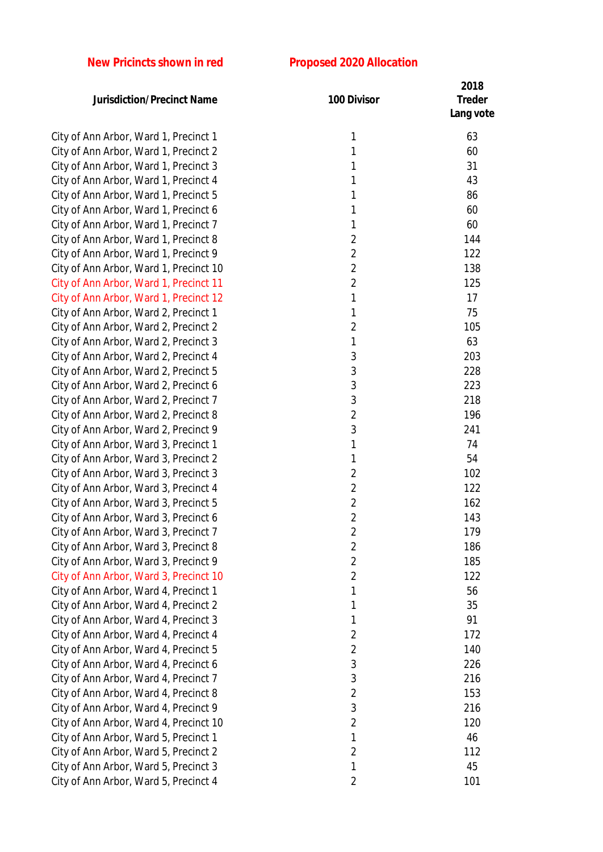## **New Pricincts shown in red Proposed 2020 Allocation**

| 1<br>City of Ann Arbor, Ward 1, Precinct 1<br>63<br>1<br>City of Ann Arbor, Ward 1, Precinct 2<br>60<br>City of Ann Arbor, Ward 1, Precinct 3<br>1<br>31<br>City of Ann Arbor, Ward 1, Precinct 4<br>43<br>1<br>1<br>86<br>City of Ann Arbor, Ward 1, Precinct 5<br>City of Ann Arbor, Ward 1, Precinct 6<br>1<br>60<br>60<br>City of Ann Arbor, Ward 1, Precinct 7<br>1<br>City of Ann Arbor, Ward 1, Precinct 8<br>$\overline{2}$<br>144<br>$\overline{2}$<br>City of Ann Arbor, Ward 1, Precinct 9<br>122<br>$\overline{2}$<br>City of Ann Arbor, Ward 1, Precinct 10<br>138<br>$\overline{2}$<br>City of Ann Arbor, Ward 1, Precinct 11<br>125<br>1<br>17<br>City of Ann Arbor, Ward 1, Precinct 12<br>City of Ann Arbor, Ward 2, Precinct 1<br>75<br>1<br>$\overline{2}$<br>105<br>City of Ann Arbor, Ward 2, Precinct 2<br>63<br>City of Ann Arbor, Ward 2, Precinct 3<br>1<br>3<br>203<br>City of Ann Arbor, Ward 2, Precinct 4<br>$\mathfrak{Z}$<br>City of Ann Arbor, Ward 2, Precinct 5<br>228<br>3<br>City of Ann Arbor, Ward 2, Precinct 6<br>223<br>3<br>218<br>City of Ann Arbor, Ward 2, Precinct 7<br>$\overline{2}$<br>City of Ann Arbor, Ward 2, Precinct 8<br>196<br>3<br>City of Ann Arbor, Ward 2, Precinct 9<br>241<br>1<br>74<br>City of Ann Arbor, Ward 3, Precinct 1<br>54<br>City of Ann Arbor, Ward 3, Precinct 2<br>1<br>$\overline{2}$<br>102<br>City of Ann Arbor, Ward 3, Precinct 3<br>$\overline{2}$<br>City of Ann Arbor, Ward 3, Precinct 4<br>122<br>$\overline{2}$<br>City of Ann Arbor, Ward 3, Precinct 5<br>162<br>$\overline{2}$<br>City of Ann Arbor, Ward 3, Precinct 6<br>143<br>City of Ann Arbor, Ward 3, Precinct 7<br>179<br>2<br>$\overline{2}$<br>City of Ann Arbor, Ward 3, Precinct 8<br>186<br>$\overline{2}$<br>City of Ann Arbor, Ward 3, Precinct 9<br>185<br>$\overline{2}$<br>City of Ann Arbor, Ward 3, Precinct 10<br>122<br>56<br>City of Ann Arbor, Ward 4, Precinct 1<br>1<br>City of Ann Arbor, Ward 4, Precinct 2<br>35<br>1<br>City of Ann Arbor, Ward 4, Precinct 3<br>91<br>1<br>City of Ann Arbor, Ward 4, Precinct 4<br>172<br>2<br>$\overline{2}$<br>City of Ann Arbor, Ward 4, Precinct 5<br>140<br>$\sqrt{3}$<br>226<br>City of Ann Arbor, Ward 4, Precinct 6<br>City of Ann Arbor, Ward 4, Precinct 7<br>3<br>216<br>$\overline{2}$<br>City of Ann Arbor, Ward 4, Precinct 8<br>153<br>3<br>City of Ann Arbor, Ward 4, Precinct 9<br>216<br>$\overline{2}$<br>City of Ann Arbor, Ward 4, Precinct 10<br>120<br>1<br>City of Ann Arbor, Ward 5, Precinct 1<br>46<br>City of Ann Arbor, Ward 5, Precinct 2<br>$\overline{2}$<br>112 | <b>Jurisdiction/Precinct Name</b>     | 100 Divisor | 2018<br><b>Treder</b><br>Lang vote |
|-------------------------------------------------------------------------------------------------------------------------------------------------------------------------------------------------------------------------------------------------------------------------------------------------------------------------------------------------------------------------------------------------------------------------------------------------------------------------------------------------------------------------------------------------------------------------------------------------------------------------------------------------------------------------------------------------------------------------------------------------------------------------------------------------------------------------------------------------------------------------------------------------------------------------------------------------------------------------------------------------------------------------------------------------------------------------------------------------------------------------------------------------------------------------------------------------------------------------------------------------------------------------------------------------------------------------------------------------------------------------------------------------------------------------------------------------------------------------------------------------------------------------------------------------------------------------------------------------------------------------------------------------------------------------------------------------------------------------------------------------------------------------------------------------------------------------------------------------------------------------------------------------------------------------------------------------------------------------------------------------------------------------------------------------------------------------------------------------------------------------------------------------------------------------------------------------------------------------------------------------------------------------------------------------------------------------------------------------------------------------------------------------------------------------------------------------------------------------------------------------------------------------------------------------------------------------------------------------------------|---------------------------------------|-------------|------------------------------------|
|                                                                                                                                                                                                                                                                                                                                                                                                                                                                                                                                                                                                                                                                                                                                                                                                                                                                                                                                                                                                                                                                                                                                                                                                                                                                                                                                                                                                                                                                                                                                                                                                                                                                                                                                                                                                                                                                                                                                                                                                                                                                                                                                                                                                                                                                                                                                                                                                                                                                                                                                                                                                             |                                       |             |                                    |
|                                                                                                                                                                                                                                                                                                                                                                                                                                                                                                                                                                                                                                                                                                                                                                                                                                                                                                                                                                                                                                                                                                                                                                                                                                                                                                                                                                                                                                                                                                                                                                                                                                                                                                                                                                                                                                                                                                                                                                                                                                                                                                                                                                                                                                                                                                                                                                                                                                                                                                                                                                                                             |                                       |             |                                    |
|                                                                                                                                                                                                                                                                                                                                                                                                                                                                                                                                                                                                                                                                                                                                                                                                                                                                                                                                                                                                                                                                                                                                                                                                                                                                                                                                                                                                                                                                                                                                                                                                                                                                                                                                                                                                                                                                                                                                                                                                                                                                                                                                                                                                                                                                                                                                                                                                                                                                                                                                                                                                             |                                       |             |                                    |
|                                                                                                                                                                                                                                                                                                                                                                                                                                                                                                                                                                                                                                                                                                                                                                                                                                                                                                                                                                                                                                                                                                                                                                                                                                                                                                                                                                                                                                                                                                                                                                                                                                                                                                                                                                                                                                                                                                                                                                                                                                                                                                                                                                                                                                                                                                                                                                                                                                                                                                                                                                                                             |                                       |             |                                    |
|                                                                                                                                                                                                                                                                                                                                                                                                                                                                                                                                                                                                                                                                                                                                                                                                                                                                                                                                                                                                                                                                                                                                                                                                                                                                                                                                                                                                                                                                                                                                                                                                                                                                                                                                                                                                                                                                                                                                                                                                                                                                                                                                                                                                                                                                                                                                                                                                                                                                                                                                                                                                             |                                       |             |                                    |
|                                                                                                                                                                                                                                                                                                                                                                                                                                                                                                                                                                                                                                                                                                                                                                                                                                                                                                                                                                                                                                                                                                                                                                                                                                                                                                                                                                                                                                                                                                                                                                                                                                                                                                                                                                                                                                                                                                                                                                                                                                                                                                                                                                                                                                                                                                                                                                                                                                                                                                                                                                                                             |                                       |             |                                    |
|                                                                                                                                                                                                                                                                                                                                                                                                                                                                                                                                                                                                                                                                                                                                                                                                                                                                                                                                                                                                                                                                                                                                                                                                                                                                                                                                                                                                                                                                                                                                                                                                                                                                                                                                                                                                                                                                                                                                                                                                                                                                                                                                                                                                                                                                                                                                                                                                                                                                                                                                                                                                             |                                       |             |                                    |
|                                                                                                                                                                                                                                                                                                                                                                                                                                                                                                                                                                                                                                                                                                                                                                                                                                                                                                                                                                                                                                                                                                                                                                                                                                                                                                                                                                                                                                                                                                                                                                                                                                                                                                                                                                                                                                                                                                                                                                                                                                                                                                                                                                                                                                                                                                                                                                                                                                                                                                                                                                                                             |                                       |             |                                    |
|                                                                                                                                                                                                                                                                                                                                                                                                                                                                                                                                                                                                                                                                                                                                                                                                                                                                                                                                                                                                                                                                                                                                                                                                                                                                                                                                                                                                                                                                                                                                                                                                                                                                                                                                                                                                                                                                                                                                                                                                                                                                                                                                                                                                                                                                                                                                                                                                                                                                                                                                                                                                             |                                       |             |                                    |
|                                                                                                                                                                                                                                                                                                                                                                                                                                                                                                                                                                                                                                                                                                                                                                                                                                                                                                                                                                                                                                                                                                                                                                                                                                                                                                                                                                                                                                                                                                                                                                                                                                                                                                                                                                                                                                                                                                                                                                                                                                                                                                                                                                                                                                                                                                                                                                                                                                                                                                                                                                                                             |                                       |             |                                    |
|                                                                                                                                                                                                                                                                                                                                                                                                                                                                                                                                                                                                                                                                                                                                                                                                                                                                                                                                                                                                                                                                                                                                                                                                                                                                                                                                                                                                                                                                                                                                                                                                                                                                                                                                                                                                                                                                                                                                                                                                                                                                                                                                                                                                                                                                                                                                                                                                                                                                                                                                                                                                             |                                       |             |                                    |
|                                                                                                                                                                                                                                                                                                                                                                                                                                                                                                                                                                                                                                                                                                                                                                                                                                                                                                                                                                                                                                                                                                                                                                                                                                                                                                                                                                                                                                                                                                                                                                                                                                                                                                                                                                                                                                                                                                                                                                                                                                                                                                                                                                                                                                                                                                                                                                                                                                                                                                                                                                                                             |                                       |             |                                    |
|                                                                                                                                                                                                                                                                                                                                                                                                                                                                                                                                                                                                                                                                                                                                                                                                                                                                                                                                                                                                                                                                                                                                                                                                                                                                                                                                                                                                                                                                                                                                                                                                                                                                                                                                                                                                                                                                                                                                                                                                                                                                                                                                                                                                                                                                                                                                                                                                                                                                                                                                                                                                             |                                       |             |                                    |
|                                                                                                                                                                                                                                                                                                                                                                                                                                                                                                                                                                                                                                                                                                                                                                                                                                                                                                                                                                                                                                                                                                                                                                                                                                                                                                                                                                                                                                                                                                                                                                                                                                                                                                                                                                                                                                                                                                                                                                                                                                                                                                                                                                                                                                                                                                                                                                                                                                                                                                                                                                                                             |                                       |             |                                    |
|                                                                                                                                                                                                                                                                                                                                                                                                                                                                                                                                                                                                                                                                                                                                                                                                                                                                                                                                                                                                                                                                                                                                                                                                                                                                                                                                                                                                                                                                                                                                                                                                                                                                                                                                                                                                                                                                                                                                                                                                                                                                                                                                                                                                                                                                                                                                                                                                                                                                                                                                                                                                             |                                       |             |                                    |
|                                                                                                                                                                                                                                                                                                                                                                                                                                                                                                                                                                                                                                                                                                                                                                                                                                                                                                                                                                                                                                                                                                                                                                                                                                                                                                                                                                                                                                                                                                                                                                                                                                                                                                                                                                                                                                                                                                                                                                                                                                                                                                                                                                                                                                                                                                                                                                                                                                                                                                                                                                                                             |                                       |             |                                    |
|                                                                                                                                                                                                                                                                                                                                                                                                                                                                                                                                                                                                                                                                                                                                                                                                                                                                                                                                                                                                                                                                                                                                                                                                                                                                                                                                                                                                                                                                                                                                                                                                                                                                                                                                                                                                                                                                                                                                                                                                                                                                                                                                                                                                                                                                                                                                                                                                                                                                                                                                                                                                             |                                       |             |                                    |
|                                                                                                                                                                                                                                                                                                                                                                                                                                                                                                                                                                                                                                                                                                                                                                                                                                                                                                                                                                                                                                                                                                                                                                                                                                                                                                                                                                                                                                                                                                                                                                                                                                                                                                                                                                                                                                                                                                                                                                                                                                                                                                                                                                                                                                                                                                                                                                                                                                                                                                                                                                                                             |                                       |             |                                    |
|                                                                                                                                                                                                                                                                                                                                                                                                                                                                                                                                                                                                                                                                                                                                                                                                                                                                                                                                                                                                                                                                                                                                                                                                                                                                                                                                                                                                                                                                                                                                                                                                                                                                                                                                                                                                                                                                                                                                                                                                                                                                                                                                                                                                                                                                                                                                                                                                                                                                                                                                                                                                             |                                       |             |                                    |
|                                                                                                                                                                                                                                                                                                                                                                                                                                                                                                                                                                                                                                                                                                                                                                                                                                                                                                                                                                                                                                                                                                                                                                                                                                                                                                                                                                                                                                                                                                                                                                                                                                                                                                                                                                                                                                                                                                                                                                                                                                                                                                                                                                                                                                                                                                                                                                                                                                                                                                                                                                                                             |                                       |             |                                    |
|                                                                                                                                                                                                                                                                                                                                                                                                                                                                                                                                                                                                                                                                                                                                                                                                                                                                                                                                                                                                                                                                                                                                                                                                                                                                                                                                                                                                                                                                                                                                                                                                                                                                                                                                                                                                                                                                                                                                                                                                                                                                                                                                                                                                                                                                                                                                                                                                                                                                                                                                                                                                             |                                       |             |                                    |
|                                                                                                                                                                                                                                                                                                                                                                                                                                                                                                                                                                                                                                                                                                                                                                                                                                                                                                                                                                                                                                                                                                                                                                                                                                                                                                                                                                                                                                                                                                                                                                                                                                                                                                                                                                                                                                                                                                                                                                                                                                                                                                                                                                                                                                                                                                                                                                                                                                                                                                                                                                                                             |                                       |             |                                    |
|                                                                                                                                                                                                                                                                                                                                                                                                                                                                                                                                                                                                                                                                                                                                                                                                                                                                                                                                                                                                                                                                                                                                                                                                                                                                                                                                                                                                                                                                                                                                                                                                                                                                                                                                                                                                                                                                                                                                                                                                                                                                                                                                                                                                                                                                                                                                                                                                                                                                                                                                                                                                             |                                       |             |                                    |
|                                                                                                                                                                                                                                                                                                                                                                                                                                                                                                                                                                                                                                                                                                                                                                                                                                                                                                                                                                                                                                                                                                                                                                                                                                                                                                                                                                                                                                                                                                                                                                                                                                                                                                                                                                                                                                                                                                                                                                                                                                                                                                                                                                                                                                                                                                                                                                                                                                                                                                                                                                                                             |                                       |             |                                    |
|                                                                                                                                                                                                                                                                                                                                                                                                                                                                                                                                                                                                                                                                                                                                                                                                                                                                                                                                                                                                                                                                                                                                                                                                                                                                                                                                                                                                                                                                                                                                                                                                                                                                                                                                                                                                                                                                                                                                                                                                                                                                                                                                                                                                                                                                                                                                                                                                                                                                                                                                                                                                             |                                       |             |                                    |
|                                                                                                                                                                                                                                                                                                                                                                                                                                                                                                                                                                                                                                                                                                                                                                                                                                                                                                                                                                                                                                                                                                                                                                                                                                                                                                                                                                                                                                                                                                                                                                                                                                                                                                                                                                                                                                                                                                                                                                                                                                                                                                                                                                                                                                                                                                                                                                                                                                                                                                                                                                                                             |                                       |             |                                    |
|                                                                                                                                                                                                                                                                                                                                                                                                                                                                                                                                                                                                                                                                                                                                                                                                                                                                                                                                                                                                                                                                                                                                                                                                                                                                                                                                                                                                                                                                                                                                                                                                                                                                                                                                                                                                                                                                                                                                                                                                                                                                                                                                                                                                                                                                                                                                                                                                                                                                                                                                                                                                             |                                       |             |                                    |
|                                                                                                                                                                                                                                                                                                                                                                                                                                                                                                                                                                                                                                                                                                                                                                                                                                                                                                                                                                                                                                                                                                                                                                                                                                                                                                                                                                                                                                                                                                                                                                                                                                                                                                                                                                                                                                                                                                                                                                                                                                                                                                                                                                                                                                                                                                                                                                                                                                                                                                                                                                                                             |                                       |             |                                    |
|                                                                                                                                                                                                                                                                                                                                                                                                                                                                                                                                                                                                                                                                                                                                                                                                                                                                                                                                                                                                                                                                                                                                                                                                                                                                                                                                                                                                                                                                                                                                                                                                                                                                                                                                                                                                                                                                                                                                                                                                                                                                                                                                                                                                                                                                                                                                                                                                                                                                                                                                                                                                             |                                       |             |                                    |
|                                                                                                                                                                                                                                                                                                                                                                                                                                                                                                                                                                                                                                                                                                                                                                                                                                                                                                                                                                                                                                                                                                                                                                                                                                                                                                                                                                                                                                                                                                                                                                                                                                                                                                                                                                                                                                                                                                                                                                                                                                                                                                                                                                                                                                                                                                                                                                                                                                                                                                                                                                                                             |                                       |             |                                    |
|                                                                                                                                                                                                                                                                                                                                                                                                                                                                                                                                                                                                                                                                                                                                                                                                                                                                                                                                                                                                                                                                                                                                                                                                                                                                                                                                                                                                                                                                                                                                                                                                                                                                                                                                                                                                                                                                                                                                                                                                                                                                                                                                                                                                                                                                                                                                                                                                                                                                                                                                                                                                             |                                       |             |                                    |
|                                                                                                                                                                                                                                                                                                                                                                                                                                                                                                                                                                                                                                                                                                                                                                                                                                                                                                                                                                                                                                                                                                                                                                                                                                                                                                                                                                                                                                                                                                                                                                                                                                                                                                                                                                                                                                                                                                                                                                                                                                                                                                                                                                                                                                                                                                                                                                                                                                                                                                                                                                                                             |                                       |             |                                    |
|                                                                                                                                                                                                                                                                                                                                                                                                                                                                                                                                                                                                                                                                                                                                                                                                                                                                                                                                                                                                                                                                                                                                                                                                                                                                                                                                                                                                                                                                                                                                                                                                                                                                                                                                                                                                                                                                                                                                                                                                                                                                                                                                                                                                                                                                                                                                                                                                                                                                                                                                                                                                             |                                       |             |                                    |
|                                                                                                                                                                                                                                                                                                                                                                                                                                                                                                                                                                                                                                                                                                                                                                                                                                                                                                                                                                                                                                                                                                                                                                                                                                                                                                                                                                                                                                                                                                                                                                                                                                                                                                                                                                                                                                                                                                                                                                                                                                                                                                                                                                                                                                                                                                                                                                                                                                                                                                                                                                                                             |                                       |             |                                    |
|                                                                                                                                                                                                                                                                                                                                                                                                                                                                                                                                                                                                                                                                                                                                                                                                                                                                                                                                                                                                                                                                                                                                                                                                                                                                                                                                                                                                                                                                                                                                                                                                                                                                                                                                                                                                                                                                                                                                                                                                                                                                                                                                                                                                                                                                                                                                                                                                                                                                                                                                                                                                             |                                       |             |                                    |
|                                                                                                                                                                                                                                                                                                                                                                                                                                                                                                                                                                                                                                                                                                                                                                                                                                                                                                                                                                                                                                                                                                                                                                                                                                                                                                                                                                                                                                                                                                                                                                                                                                                                                                                                                                                                                                                                                                                                                                                                                                                                                                                                                                                                                                                                                                                                                                                                                                                                                                                                                                                                             |                                       |             |                                    |
|                                                                                                                                                                                                                                                                                                                                                                                                                                                                                                                                                                                                                                                                                                                                                                                                                                                                                                                                                                                                                                                                                                                                                                                                                                                                                                                                                                                                                                                                                                                                                                                                                                                                                                                                                                                                                                                                                                                                                                                                                                                                                                                                                                                                                                                                                                                                                                                                                                                                                                                                                                                                             |                                       |             |                                    |
|                                                                                                                                                                                                                                                                                                                                                                                                                                                                                                                                                                                                                                                                                                                                                                                                                                                                                                                                                                                                                                                                                                                                                                                                                                                                                                                                                                                                                                                                                                                                                                                                                                                                                                                                                                                                                                                                                                                                                                                                                                                                                                                                                                                                                                                                                                                                                                                                                                                                                                                                                                                                             |                                       |             |                                    |
|                                                                                                                                                                                                                                                                                                                                                                                                                                                                                                                                                                                                                                                                                                                                                                                                                                                                                                                                                                                                                                                                                                                                                                                                                                                                                                                                                                                                                                                                                                                                                                                                                                                                                                                                                                                                                                                                                                                                                                                                                                                                                                                                                                                                                                                                                                                                                                                                                                                                                                                                                                                                             |                                       |             |                                    |
|                                                                                                                                                                                                                                                                                                                                                                                                                                                                                                                                                                                                                                                                                                                                                                                                                                                                                                                                                                                                                                                                                                                                                                                                                                                                                                                                                                                                                                                                                                                                                                                                                                                                                                                                                                                                                                                                                                                                                                                                                                                                                                                                                                                                                                                                                                                                                                                                                                                                                                                                                                                                             |                                       |             |                                    |
|                                                                                                                                                                                                                                                                                                                                                                                                                                                                                                                                                                                                                                                                                                                                                                                                                                                                                                                                                                                                                                                                                                                                                                                                                                                                                                                                                                                                                                                                                                                                                                                                                                                                                                                                                                                                                                                                                                                                                                                                                                                                                                                                                                                                                                                                                                                                                                                                                                                                                                                                                                                                             |                                       |             |                                    |
|                                                                                                                                                                                                                                                                                                                                                                                                                                                                                                                                                                                                                                                                                                                                                                                                                                                                                                                                                                                                                                                                                                                                                                                                                                                                                                                                                                                                                                                                                                                                                                                                                                                                                                                                                                                                                                                                                                                                                                                                                                                                                                                                                                                                                                                                                                                                                                                                                                                                                                                                                                                                             |                                       |             |                                    |
|                                                                                                                                                                                                                                                                                                                                                                                                                                                                                                                                                                                                                                                                                                                                                                                                                                                                                                                                                                                                                                                                                                                                                                                                                                                                                                                                                                                                                                                                                                                                                                                                                                                                                                                                                                                                                                                                                                                                                                                                                                                                                                                                                                                                                                                                                                                                                                                                                                                                                                                                                                                                             |                                       |             |                                    |
|                                                                                                                                                                                                                                                                                                                                                                                                                                                                                                                                                                                                                                                                                                                                                                                                                                                                                                                                                                                                                                                                                                                                                                                                                                                                                                                                                                                                                                                                                                                                                                                                                                                                                                                                                                                                                                                                                                                                                                                                                                                                                                                                                                                                                                                                                                                                                                                                                                                                                                                                                                                                             | City of Ann Arbor, Ward 5, Precinct 3 | 1           | 45                                 |
| $\overline{2}$<br>City of Ann Arbor, Ward 5, Precinct 4<br>101                                                                                                                                                                                                                                                                                                                                                                                                                                                                                                                                                                                                                                                                                                                                                                                                                                                                                                                                                                                                                                                                                                                                                                                                                                                                                                                                                                                                                                                                                                                                                                                                                                                                                                                                                                                                                                                                                                                                                                                                                                                                                                                                                                                                                                                                                                                                                                                                                                                                                                                                              |                                       |             |                                    |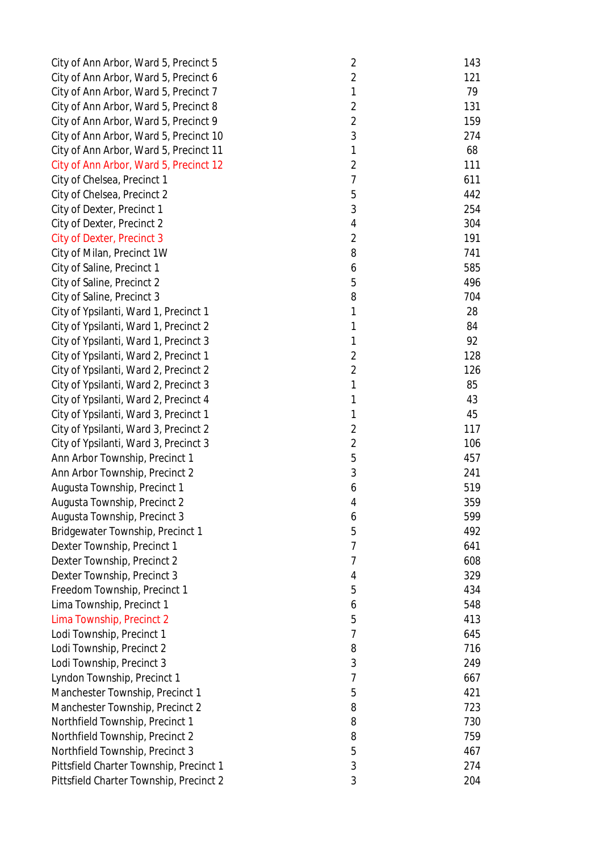| City of Ann Arbor, Ward 5, Precinct 5   | $\overline{2}$ | 143 |
|-----------------------------------------|----------------|-----|
| City of Ann Arbor, Ward 5, Precinct 6   | $\overline{2}$ | 121 |
| City of Ann Arbor, Ward 5, Precinct 7   | 1              | 79  |
| City of Ann Arbor, Ward 5, Precinct 8   | $\overline{2}$ | 131 |
| City of Ann Arbor, Ward 5, Precinct 9   | $\overline{2}$ | 159 |
| City of Ann Arbor, Ward 5, Precinct 10  | 3              | 274 |
| City of Ann Arbor, Ward 5, Precinct 11  | 1              | 68  |
| City of Ann Arbor, Ward 5, Precinct 12  | $\overline{2}$ | 111 |
| City of Chelsea, Precinct 1             | $\overline{7}$ | 611 |
| City of Chelsea, Precinct 2             | 5              | 442 |
| City of Dexter, Precinct 1              | 3              | 254 |
| City of Dexter, Precinct 2              | 4              | 304 |
| <b>City of Dexter, Precinct 3</b>       | $\overline{2}$ | 191 |
| City of Milan, Precinct 1W              | 8              | 741 |
| City of Saline, Precinct 1              | 6              | 585 |
| City of Saline, Precinct 2              | 5              | 496 |
| City of Saline, Precinct 3              | 8              | 704 |
| City of Ypsilanti, Ward 1, Precinct 1   | 1              | 28  |
| City of Ypsilanti, Ward 1, Precinct 2   | 1              | 84  |
| City of Ypsilanti, Ward 1, Precinct 3   | 1              | 92  |
| City of Ypsilanti, Ward 2, Precinct 1   | $\overline{2}$ | 128 |
| City of Ypsilanti, Ward 2, Precinct 2   | $\overline{2}$ | 126 |
| City of Ypsilanti, Ward 2, Precinct 3   | 1              | 85  |
| City of Ypsilanti, Ward 2, Precinct 4   | 1              | 43  |
| City of Ypsilanti, Ward 3, Precinct 1   | 1              | 45  |
| City of Ypsilanti, Ward 3, Precinct 2   | $\overline{c}$ | 117 |
| City of Ypsilanti, Ward 3, Precinct 3   | $\sqrt{2}$     | 106 |
| Ann Arbor Township, Precinct 1          | 5              | 457 |
| Ann Arbor Township, Precinct 2          | 3              | 241 |
| Augusta Township, Precinct 1            | 6              | 519 |
| Augusta Township, Precinct 2            | 4              | 359 |
| Augusta Township, Precinct 3            | 6              | 599 |
| Bridgewater Township, Precinct 1        | 5              | 492 |
| Dexter Township, Precinct 1             | 7              | 641 |
| Dexter Township, Precinct 2             | 7              | 608 |
| Dexter Township, Precinct 3             | 4              | 329 |
| Freedom Township, Precinct 1            | 5              | 434 |
| Lima Township, Precinct 1               | 6              | 548 |
| Lima Township, Precinct 2               | 5              | 413 |
| Lodi Township, Precinct 1               | 7              | 645 |
| Lodi Township, Precinct 2               | 8              | 716 |
| Lodi Township, Precinct 3               | 3              | 249 |
| Lyndon Township, Precinct 1             | 7              | 667 |
| Manchester Township, Precinct 1         | 5              | 421 |
| Manchester Township, Precinct 2         | 8              | 723 |
| Northfield Township, Precinct 1         | 8              | 730 |
| Northfield Township, Precinct 2         | 8              | 759 |
| Northfield Township, Precinct 3         | 5              | 467 |
| Pittsfield Charter Township, Precinct 1 | 3              | 274 |
| Pittsfield Charter Township, Precinct 2 | 3              | 204 |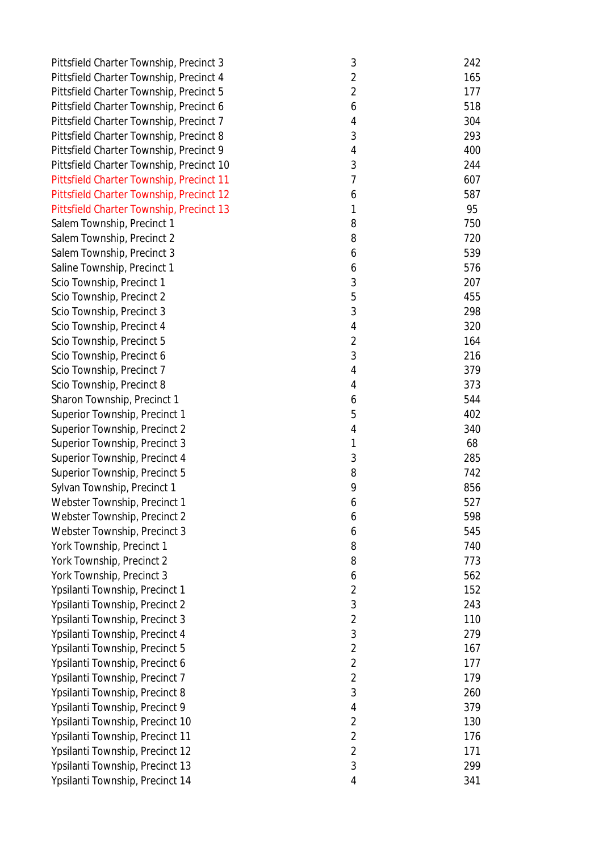| Pittsfield Charter Township, Precinct 3  | $\sqrt{3}$     | 242 |
|------------------------------------------|----------------|-----|
| Pittsfield Charter Township, Precinct 4  | $\overline{2}$ | 165 |
| Pittsfield Charter Township, Precinct 5  | $\overline{2}$ | 177 |
| Pittsfield Charter Township, Precinct 6  | 6              | 518 |
| Pittsfield Charter Township, Precinct 7  | 4              | 304 |
| Pittsfield Charter Township, Precinct 8  | 3              | 293 |
| Pittsfield Charter Township, Precinct 9  | 4              | 400 |
| Pittsfield Charter Township, Precinct 10 | 3              | 244 |
| Pittsfield Charter Township, Precinct 11 | $\overline{7}$ | 607 |
| Pittsfield Charter Township, Precinct 12 | 6              | 587 |
| Pittsfield Charter Township, Precinct 13 | 1              | 95  |
| Salem Township, Precinct 1               | 8              | 750 |
| Salem Township, Precinct 2               | 8              | 720 |
| Salem Township, Precinct 3               | 6              | 539 |
| Saline Township, Precinct 1              | 6              | 576 |
| Scio Township, Precinct 1                | 3              | 207 |
| Scio Township, Precinct 2                | 5              | 455 |
| Scio Township, Precinct 3                | 3              | 298 |
| Scio Township, Precinct 4                | $\overline{4}$ | 320 |
| Scio Township, Precinct 5                | $\overline{2}$ | 164 |
| Scio Township, Precinct 6                | 3              | 216 |
| Scio Township, Precinct 7                | 4              | 379 |
| Scio Township, Precinct 8                | $\overline{4}$ | 373 |
| Sharon Township, Precinct 1              | 6              | 544 |
| Superior Township, Precinct 1            | 5              | 402 |
| Superior Township, Precinct 2            | 4              | 340 |
| Superior Township, Precinct 3            | 1              | 68  |
| Superior Township, Precinct 4            | 3              | 285 |
| Superior Township, Precinct 5            | 8              | 742 |
| Sylvan Township, Precinct 1              | 9              | 856 |
| Webster Township, Precinct 1             | 6              | 527 |
| Webster Township, Precinct 2             | 6              | 598 |
| Webster Township, Precinct 3             | 6              | 545 |
| York Township, Precinct 1                | 8              | 740 |
| York Township, Precinct 2                | 8              | 773 |
| York Township, Precinct 3                | 6              | 562 |
| Ypsilanti Township, Precinct 1           | $\overline{2}$ | 152 |
| Ypsilanti Township, Precinct 2           | 3              | 243 |
| Ypsilanti Township, Precinct 3           | $\overline{2}$ | 110 |
| Ypsilanti Township, Precinct 4           | $\mathfrak{Z}$ | 279 |
| Ypsilanti Township, Precinct 5           | $\overline{2}$ | 167 |
| Ypsilanti Township, Precinct 6           | $\overline{2}$ | 177 |
| Ypsilanti Township, Precinct 7           | $\overline{2}$ | 179 |
|                                          | 3              | 260 |
| Ypsilanti Township, Precinct 8           |                |     |
| Ypsilanti Township, Precinct 9           | 4              | 379 |
| Ypsilanti Township, Precinct 10          | $\overline{2}$ | 130 |
| Ypsilanti Township, Precinct 11          | $\overline{2}$ | 176 |
| Ypsilanti Township, Precinct 12          | $\overline{2}$ | 171 |
| Ypsilanti Township, Precinct 13          | 3              | 299 |
| Ypsilanti Township, Precinct 14          | 4              | 341 |